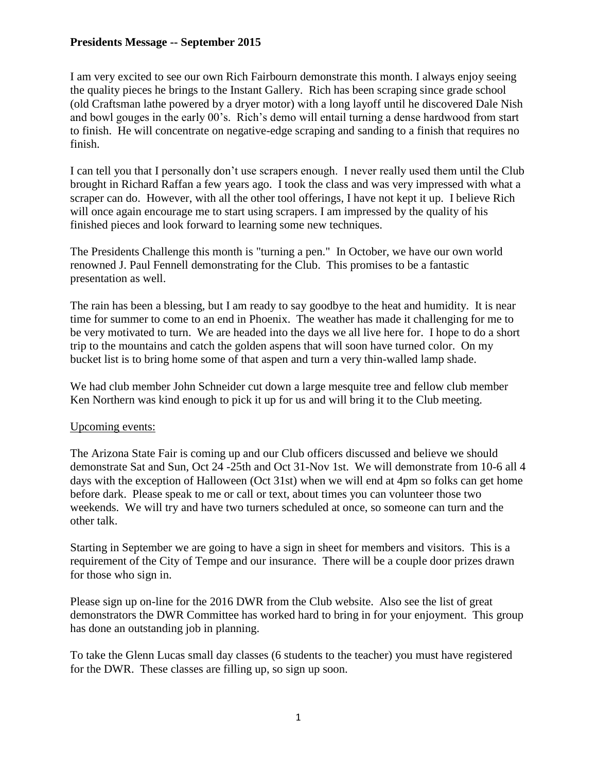## **Presidents Message -- September 2015**

I am very excited to see our own Rich Fairbourn demonstrate this month. I always enjoy seeing the quality pieces he brings to the Instant Gallery. Rich has been scraping since grade school (old Craftsman lathe powered by a dryer motor) with a long layoff until he discovered Dale Nish and bowl gouges in the early 00's. Rich's demo will entail turning a dense hardwood from start to finish. He will concentrate on negative-edge scraping and sanding to a finish that requires no finish.

I can tell you that I personally don't use scrapers enough. I never really used them until the Club brought in Richard Raffan a few years ago. I took the class and was very impressed with what a scraper can do. However, with all the other tool offerings, I have not kept it up. I believe Rich will once again encourage me to start using scrapers. I am impressed by the quality of his finished pieces and look forward to learning some new techniques.

The Presidents Challenge this month is "turning a pen." In October, we have our own world renowned J. Paul Fennell demonstrating for the Club. This promises to be a fantastic presentation as well.

The rain has been a blessing, but I am ready to say goodbye to the heat and humidity. It is near time for summer to come to an end in Phoenix. The weather has made it challenging for me to be very motivated to turn. We are headed into the days we all live here for. I hope to do a short trip to the mountains and catch the golden aspens that will soon have turned color. On my bucket list is to bring home some of that aspen and turn a very thin-walled lamp shade.

We had club member John Schneider cut down a large mesquite tree and fellow club member Ken Northern was kind enough to pick it up for us and will bring it to the Club meeting.

## Upcoming events:

The Arizona State Fair is coming up and our Club officers discussed and believe we should demonstrate Sat and Sun, Oct 24 -25th and Oct 31-Nov 1st. We will demonstrate from 10-6 all 4 days with the exception of Halloween (Oct 31st) when we will end at 4pm so folks can get home before dark. Please speak to me or call or text, about times you can volunteer those two weekends. We will try and have two turners scheduled at once, so someone can turn and the other talk.

Starting in September we are going to have a sign in sheet for members and visitors. This is a requirement of the City of Tempe and our insurance. There will be a couple door prizes drawn for those who sign in.

Please sign up on-line for the 2016 DWR from the Club website. Also see the list of great demonstrators the DWR Committee has worked hard to bring in for your enjoyment. This group has done an outstanding job in planning.

To take the Glenn Lucas small day classes (6 students to the teacher) you must have registered for the DWR. These classes are filling up, so sign up soon.